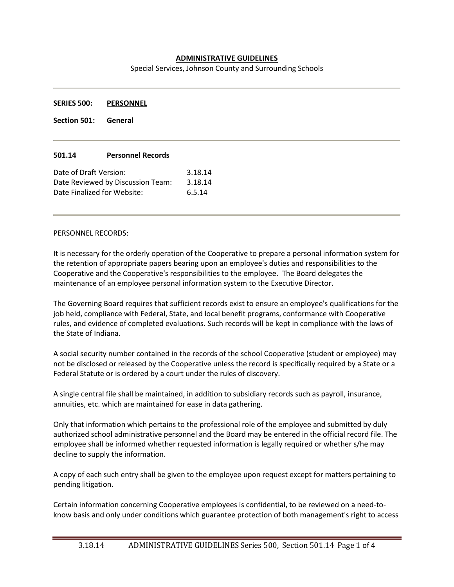## **ADMINISTRATIVE GUIDELINES**

Special Services, Johnson County and Surrounding Schools

**SERIES 500: PERSONNEL**

**Section 501: General**

#### **501.14 Personnel Records**

| Date of Draft Version:            | 3.18.14 |
|-----------------------------------|---------|
| Date Reviewed by Discussion Team: | 3.18.14 |
| Date Finalized for Website:       | 6.5.14  |

#### PERSONNEL RECORDS:

It is necessary for the orderly operation of the Cooperative to prepare a personal information system for the retention of appropriate papers bearing upon an employee's duties and responsibilities to the Cooperative and the Cooperative's responsibilities to the employee. The Board delegates the maintenance of an employee personal information system to the Executive Director.

The Governing Board requires that sufficient records exist to ensure an employee's qualifications for the job held, compliance with Federal, State, and local benefit programs, conformance with Cooperative rules, and evidence of completed evaluations. Such records will be kept in compliance with the laws of the State of Indiana.

A social security number contained in the records of the school Cooperative (student or employee) may not be disclosed or released by the Cooperative unless the record is specifically required by a State or a Federal Statute or is ordered by a court under the rules of discovery.

A single central file shall be maintained, in addition to subsidiary records such as payroll, insurance, annuities, etc. which are maintained for ease in data gathering.

Only that information which pertains to the professional role of the employee and submitted by duly authorized school administrative personnel and the Board may be entered in the official record file. The employee shall be informed whether requested information is legally required or whether s/he may decline to supply the information.

A copy of each such entry shall be given to the employee upon request except for matters pertaining to pending litigation.

Certain information concerning Cooperative employees is confidential, to be reviewed on a need-toknow basis and only under conditions which guarantee protection of both management's right to access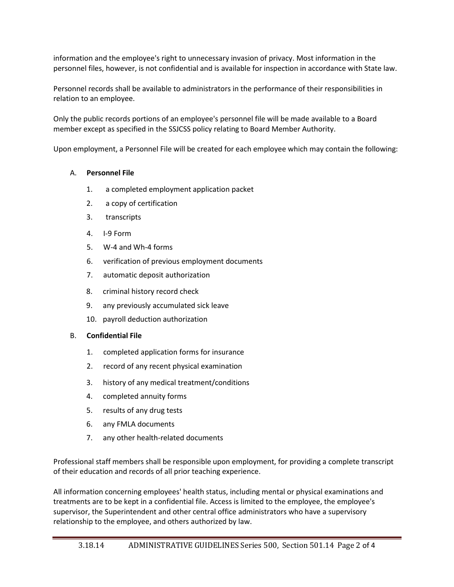information and the employee's right to unnecessary invasion of privacy. Most information in the personnel files, however, is not confidential and is available for inspection in accordance with State law.

Personnel records shall be available to administrators in the performance of their responsibilities in relation to an employee.

Only the public records portions of an employee's personnel file will be made available to a Board member except as specified in the SSJCSS policy relating to Board Member Authority.

Upon employment, a Personnel File will be created for each employee which may contain the following:

# A. **Personnel File**

- 1. a completed employment application packet
- 2. a copy of certification
- 3. transcripts
- 4. I-9 Form
- 5. W-4 and Wh-4 forms
- 6. verification of previous employment documents
- 7. automatic deposit authorization
- 8. criminal history record check
- 9. any previously accumulated sick leave
- 10. payroll deduction authorization

### B. **Confidential File**

- 1. completed application forms for insurance
- 2. record of any recent physical examination
- 3. history of any medical treatment/conditions
- 4. completed annuity forms
- 5. results of any drug tests
- 6. any FMLA documents
- 7. any other health-related documents

Professional staff members shall be responsible upon employment, for providing a complete transcript of their education and records of all prior teaching experience.

All information concerning employees' health status, including mental or physical examinations and treatments are to be kept in a confidential file. Access is limited to the employee, the employee's supervisor, the Superintendent and other central office administrators who have a supervisory relationship to the employee, and others authorized by law.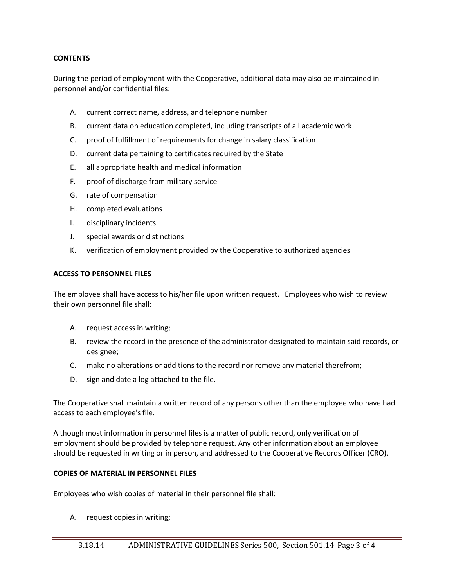### **CONTENTS**

During the period of employment with the Cooperative, additional data may also be maintained in personnel and/or confidential files:

- A. current correct name, address, and telephone number
- B. current data on education completed, including transcripts of all academic work
- C. proof of fulfillment of requirements for change in salary classification
- D. current data pertaining to certificates required by the State
- E. all appropriate health and medical information
- F. proof of discharge from military service
- G. rate of compensation
- H. completed evaluations
- I. disciplinary incidents
- J. special awards or distinctions
- K. verification of employment provided by the Cooperative to authorized agencies

#### **ACCESS TO PERSONNEL FILES**

The employee shall have access to his/her file upon written request. Employees who wish to review their own personnel file shall:

- A. request access in writing;
- B. review the record in the presence of the administrator designated to maintain said records, or designee;
- C. make no alterations or additions to the record nor remove any material therefrom;
- D. sign and date a log attached to the file.

The Cooperative shall maintain a written record of any persons other than the employee who have had access to each employee's file.

Although most information in personnel files is a matter of public record, only verification of employment should be provided by telephone request. Any other information about an employee should be requested in writing or in person, and addressed to the Cooperative Records Officer (CRO).

### **COPIES OF MATERIAL IN PERSONNEL FILES**

Employees who wish copies of material in their personnel file shall:

A. request copies in writing;